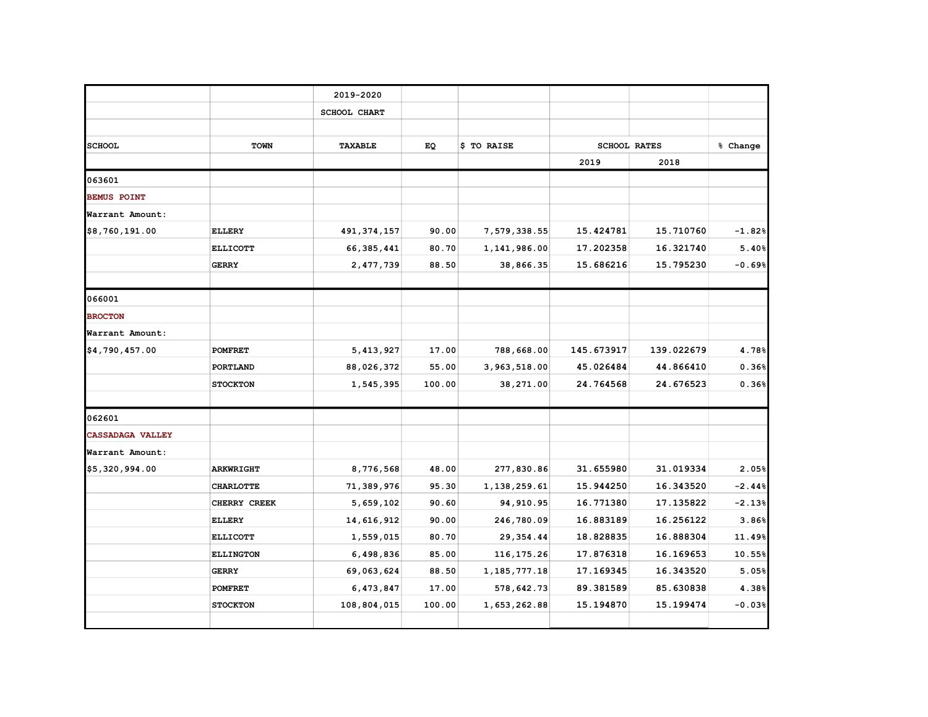|                         |                  | 2019-2020           |        |                 |            |                     |          |
|-------------------------|------------------|---------------------|--------|-----------------|------------|---------------------|----------|
|                         |                  | <b>SCHOOL CHART</b> |        |                 |            |                     |          |
|                         |                  |                     |        |                 |            |                     |          |
| <b>SCHOOL</b>           | <b>TOWN</b>      | <b>TAXABLE</b>      | EQ     | \$ TO RAISE     |            | <b>SCHOOL RATES</b> | % Change |
|                         |                  |                     |        |                 | 2019       | 2018                |          |
| 063601                  |                  |                     |        |                 |            |                     |          |
| <b>BEMUS POINT</b>      |                  |                     |        |                 |            |                     |          |
| Warrant Amount:         |                  |                     |        |                 |            |                     |          |
| \$8,760,191.00          | <b>ELLERY</b>    | 491, 374, 157       | 90.00  | 7,579,338.55    | 15.424781  | 15.710760           | $-1.82%$ |
|                         | <b>ELLICOTT</b>  | 66, 385, 441        | 80.70  | 1,141,986.00    | 17.202358  | 16.321740           | 5.40%    |
|                         | <b>GERRY</b>     | 2,477,739           | 88.50  | 38,866.35       | 15.686216  | 15.795230           | $-0.69%$ |
|                         |                  |                     |        |                 |            |                     |          |
| 066001                  |                  |                     |        |                 |            |                     |          |
| <b>BROCTON</b>          |                  |                     |        |                 |            |                     |          |
| Warrant Amount:         |                  |                     |        |                 |            |                     |          |
| \$4,790,457.00          | <b>POMFRET</b>   | 5,413,927           | 17.00  | 788,668.00      | 145.673917 | 139.022679          | 4.78%    |
|                         | PORTLAND         | 88,026,372          | 55.00  | 3,963,518.00    | 45.026484  | 44.866410           | 0.36%    |
|                         | <b>STOCKTON</b>  | 1,545,395           | 100.00 | 38,271.00       | 24.764568  | 24.676523           | 0.36%    |
| 062601                  |                  |                     |        |                 |            |                     |          |
| <b>CASSADAGA VALLEY</b> |                  |                     |        |                 |            |                     |          |
| Warrant Amount:         |                  |                     |        |                 |            |                     |          |
| \$5,320,994.00          | <b>ARKWRIGHT</b> | 8,776,568           | 48.00  | 277,830.86      | 31.655980  | 31.019334           | 2.05%    |
|                         | <b>CHARLOTTE</b> | 71,389,976          | 95.30  | 1,138,259.61    | 15.944250  | 16.343520           | $-2.44%$ |
|                         | CHERRY CREEK     | 5,659,102           | 90.60  | 94, 910.95      | 16.771380  | 17.135822           | $-2.13%$ |
|                         | <b>ELLERY</b>    | 14,616,912          | 90.00  | 246,780.09      | 16.883189  | 16.256122           | 3.86%    |
|                         | <b>ELLICOTT</b>  | 1,559,015           | 80.70  | 29, 354.44      | 18.828835  | 16.888304           | 11.49%   |
|                         | <b>ELLINGTON</b> | 6,498,836           | 85.00  | 116,175.26      | 17.876318  | 16.169653           | 10.55%   |
|                         | <b>GERRY</b>     | 69,063,624          | 88.50  | 1, 185, 777. 18 | 17.169345  | 16.343520           | 5.05%    |
|                         | <b>POMFRET</b>   | 6,473,847           | 17.00  | 578,642.73      | 89.381589  | 85.630838           | 4.38%    |
|                         | <b>STOCKTON</b>  | 108,804,015         | 100.00 | 1,653,262.88    | 15.194870  | 15.199474           | $-0.03%$ |
|                         |                  |                     |        |                 |            |                     |          |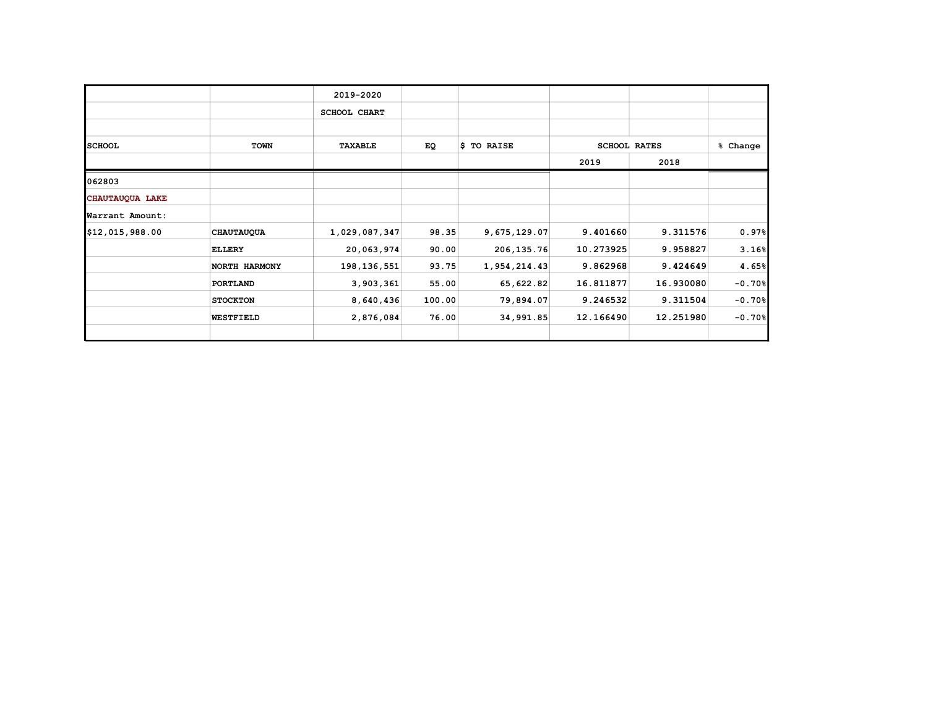|                 |                   | 2019-2020           |        |              |           |                     |                      |
|-----------------|-------------------|---------------------|--------|--------------|-----------|---------------------|----------------------|
|                 |                   | <b>SCHOOL CHART</b> |        |              |           |                     |                      |
|                 |                   |                     |        |              |           |                     |                      |
| <b>SCHOOL</b>   | <b>TOWN</b>       | <b>TAXABLE</b>      | EQ     | \$ TO RAISE  |           | <b>SCHOOL RATES</b> | % Change             |
|                 |                   |                     |        |              | 2019      | 2018                |                      |
| 062803          |                   |                     |        |              |           |                     |                      |
| CHAUTAUQUA LAKE |                   |                     |        |              |           |                     |                      |
| Warrant Amount: |                   |                     |        |              |           |                     |                      |
| \$12,015,988.00 | <b>CHAUTAUQUA</b> | 1,029,087,347       | 98.35  | 9,675,129.07 | 9.401660  | 9.311576            | 0.97%                |
|                 | <b>ELLERY</b>     | 20,063,974          | 90.00  | 206,135.76   | 10.273925 | 9.958827            | 3.16%                |
|                 | NORTH HARMONY     | 198, 136, 551       | 93.75  | 1,954,214.43 | 9.862968  | 9.424649            | 4.65%                |
|                 | PORTLAND          | 3,903,361           | 55.00  | 65,622.82    | 16.811877 | 16.930080           | $-0.70%$             |
|                 | <b>STOCKTON</b>   | 8,640,436           | 100.00 | 79,894.07    | 9.246532  | 9.311504            | $-0.70$ <sup>8</sup> |
|                 | <b>WESTFIELD</b>  | 2,876,084           | 76.00  | 34,991.85    | 12.166490 | 12.251980           | $-0.70$ <sup>8</sup> |
|                 |                   |                     |        |              |           |                     |                      |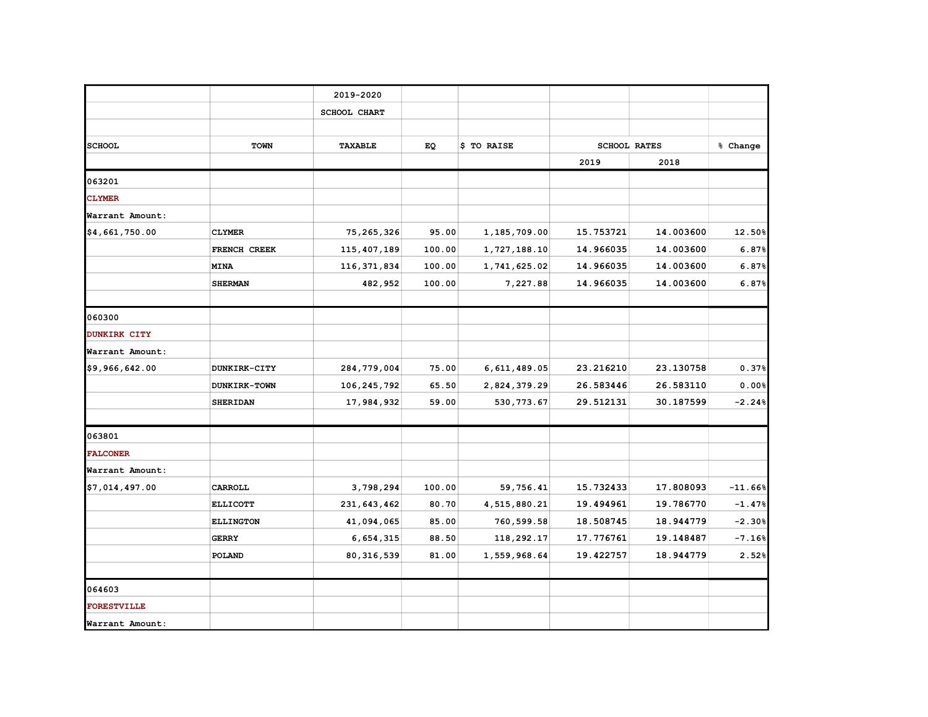|                     |                  | 2019-2020           |        |              |           |                     |           |
|---------------------|------------------|---------------------|--------|--------------|-----------|---------------------|-----------|
|                     |                  | <b>SCHOOL CHART</b> |        |              |           |                     |           |
|                     |                  |                     |        |              |           |                     |           |
| <b>SCHOOL</b>       | <b>TOWN</b>      | <b>TAXABLE</b>      | EQ     | \$ TO RAISE  |           | <b>SCHOOL RATES</b> | % Change  |
|                     |                  |                     |        |              | 2019      | 2018                |           |
| 063201              |                  |                     |        |              |           |                     |           |
| <b>CLYMER</b>       |                  |                     |        |              |           |                     |           |
| Warrant Amount:     |                  |                     |        |              |           |                     |           |
| \$4,661,750.00      | <b>CLYMER</b>    | 75, 265, 326        | 95.00  | 1,185,709.00 | 15.753721 | 14.003600           | 12.50%    |
|                     | FRENCH CREEK     | 115, 407, 189       | 100.00 | 1,727,188.10 | 14.966035 | 14.003600           | 6.87%     |
|                     | <b>MINA</b>      | 116, 371, 834       | 100.00 | 1,741,625.02 | 14.966035 | 14.003600           | 6.87%     |
|                     | <b>SHERMAN</b>   | 482,952             | 100.00 | 7,227.88     | 14.966035 | 14.003600           | 6.87%     |
|                     |                  |                     |        |              |           |                     |           |
| 060300              |                  |                     |        |              |           |                     |           |
| <b>DUNKIRK CITY</b> |                  |                     |        |              |           |                     |           |
| Warrant Amount:     |                  |                     |        |              |           |                     |           |
| \$9,966,642.00      | DUNKIRK-CITY     | 284,779,004         | 75.00  | 6,611,489.05 | 23.216210 | 23.130758           | 0.37%     |
|                     | DUNKIRK-TOWN     | 106, 245, 792       | 65.50  | 2,824,379.29 | 26.583446 | 26.583110           | 0.00%     |
|                     | <b>SHERIDAN</b>  | 17,984,932          | 59.00  | 530, 773.67  | 29.512131 | 30.187599           | $-2.24%$  |
| 063801              |                  |                     |        |              |           |                     |           |
| <b>FALCONER</b>     |                  |                     |        |              |           |                     |           |
| Warrant Amount:     |                  |                     |        |              |           |                     |           |
| \$7,014,497.00      | CARROLL          | 3,798,294           | 100.00 | 59,756.41    | 15.732433 | 17.808093           | $-11.66%$ |
|                     | <b>ELLICOTT</b>  | 231,643,462         | 80.70  | 4,515,880.21 | 19.494961 | 19.786770           | $-1.47%$  |
|                     | <b>ELLINGTON</b> | 41,094,065          | 85.00  | 760,599.58   | 18.508745 | 18.944779           | $-2.30%$  |
|                     | <b>GERRY</b>     | 6,654,315           | 88.50  | 118,292.17   | 17.776761 | 19.148487           | $-7.16%$  |
|                     | POLAND           | 80, 316, 539        | 81.00  | 1,559,968.64 | 19.422757 | 18.944779           | 2.52%     |
|                     |                  |                     |        |              |           |                     |           |
| 064603              |                  |                     |        |              |           |                     |           |
| <b>FORESTVILLE</b>  |                  |                     |        |              |           |                     |           |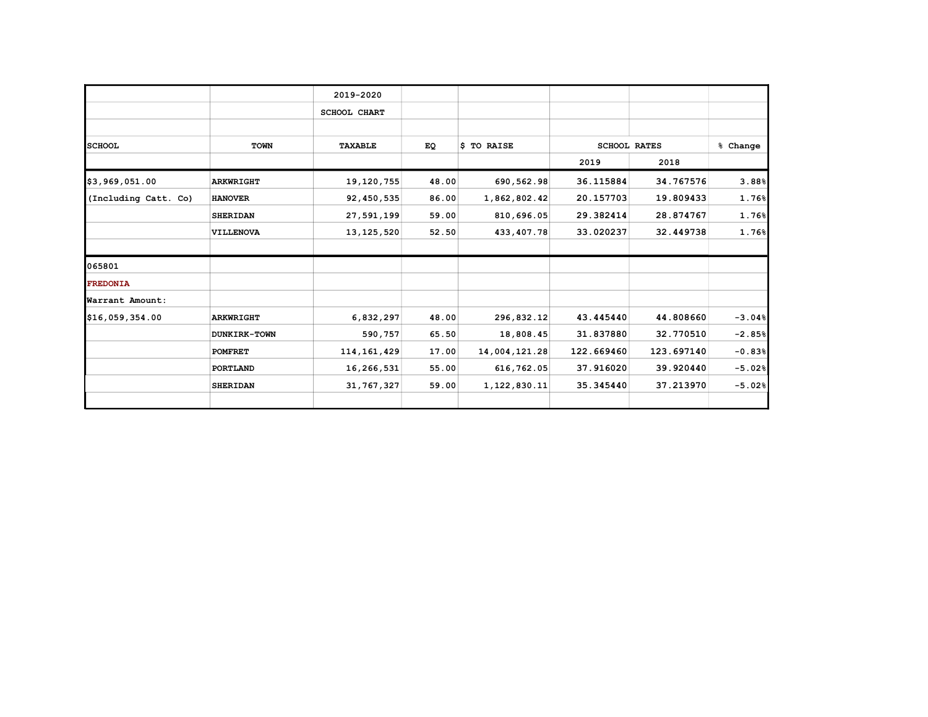|                      |                  | 2019-2020           |       |               |                     |            |          |
|----------------------|------------------|---------------------|-------|---------------|---------------------|------------|----------|
|                      |                  | <b>SCHOOL CHART</b> |       |               |                     |            |          |
|                      |                  |                     |       |               |                     |            |          |
| <b>SCHOOL</b>        | <b>TOWN</b>      | <b>TAXABLE</b>      | EQ    | \$ TO RAISE   | <b>SCHOOL RATES</b> |            | % Change |
|                      |                  |                     |       |               | 2019                | 2018       |          |
| \$3,969,051.00       | <b>ARKWRIGHT</b> | 19,120,755          | 48.00 | 690,562.98    | 36.115884           | 34.767576  | 3.88%    |
| (Including Catt. Co) | <b>HANOVER</b>   | 92,450,535          | 86.00 | 1,862,802.42  | 20.157703           | 19.809433  | 1.76%    |
|                      | <b>SHERIDAN</b>  | 27,591,199          | 59.00 | 810,696.05    | 29.382414           | 28.874767  | 1.76%    |
|                      | VILLENOVA        | 13, 125, 520        | 52.50 | 433, 407. 78  | 33.020237           | 32.449738  | 1.76%    |
| 065801               |                  |                     |       |               |                     |            |          |
| <b>FREDONIA</b>      |                  |                     |       |               |                     |            |          |
| Warrant Amount:      |                  |                     |       |               |                     |            |          |
| \$16,059,354.00      | <b>ARKWRIGHT</b> | 6,832,297           | 48.00 | 296,832.12    | 43.445440           | 44.808660  | $-3.04%$ |
|                      | DUNKIRK-TOWN     | 590,757             | 65.50 | 18,808.45     | 31.837880           | 32.770510  | $-2.85%$ |
|                      | <b>POMFRET</b>   | 114, 161, 429       | 17.00 | 14,004,121.28 | 122.669460          | 123.697140 | $-0.83%$ |
|                      | PORTLAND         | 16,266,531          | 55.00 | 616,762.05    | 37.916020           | 39.920440  | $-5.02%$ |
|                      | <b>SHERIDAN</b>  | 31, 767, 327        | 59.00 | 1,122,830.11  | 35.345440           | 37.213970  | $-5.02%$ |
|                      |                  |                     |       |               |                     |            |          |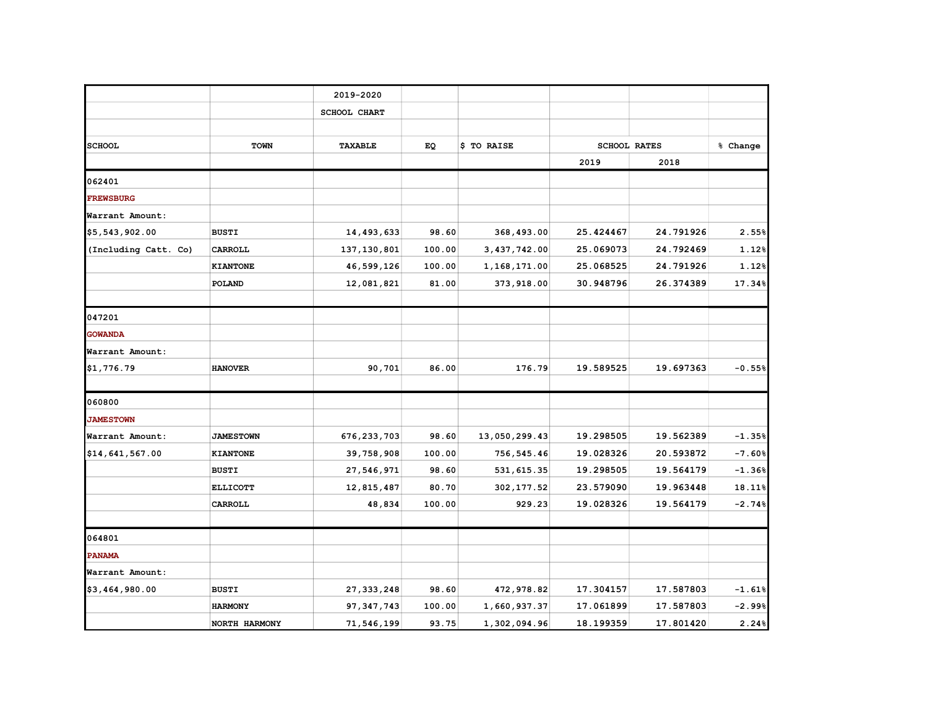|                      |                  | 2019-2020           |        |               |           |                     |          |
|----------------------|------------------|---------------------|--------|---------------|-----------|---------------------|----------|
|                      |                  | <b>SCHOOL CHART</b> |        |               |           |                     |          |
|                      |                  |                     |        |               |           |                     |          |
| <b>SCHOOL</b>        | <b>TOWN</b>      | <b>TAXABLE</b>      | EQ     | \$ TO RAISE   |           | <b>SCHOOL RATES</b> | % Change |
|                      |                  |                     |        |               | 2019      | 2018                |          |
| 062401               |                  |                     |        |               |           |                     |          |
| <b>FREWSBURG</b>     |                  |                     |        |               |           |                     |          |
| Warrant Amount:      |                  |                     |        |               |           |                     |          |
| \$5,543,902.00       | <b>BUSTI</b>     | 14,493,633          | 98.60  | 368,493.00    | 25.424467 | 24.791926           | 2.55%    |
| (Including Catt. Co) | CARROLL          | 137, 130, 801       | 100.00 | 3,437,742.00  | 25.069073 | 24.792469           | 1.12%    |
|                      | <b>KIANTONE</b>  | 46,599,126          | 100.00 | 1,168,171.00  | 25.068525 | 24.791926           | 1.12%    |
|                      | POLAND           | 12,081,821          | 81.00  | 373,918.00    | 30.948796 | 26.374389           | 17.34%   |
|                      |                  |                     |        |               |           |                     |          |
| 047201               |                  |                     |        |               |           |                     |          |
| <b>GOWANDA</b>       |                  |                     |        |               |           |                     |          |
| Warrant Amount:      |                  |                     |        |               |           |                     |          |
| \$1,776.79           | <b>HANOVER</b>   | 90,701              | 86.00  | 176.79        | 19.589525 | 19.697363           | $-0.55%$ |
| 060800               |                  |                     |        |               |           |                     |          |
| <b>JAMESTOWN</b>     |                  |                     |        |               |           |                     |          |
| Warrant Amount:      | <b>JAMESTOWN</b> | 676, 233, 703       | 98.60  | 13,050,299.43 | 19.298505 | 19.562389           | $-1.35%$ |
| \$14,641,567.00      | <b>KIANTONE</b>  | 39,758,908          | 100.00 | 756,545.46    | 19.028326 | 20.593872           | $-7.60%$ |
|                      | <b>BUSTI</b>     | 27,546,971          | 98.60  | 531, 615.35   | 19.298505 | 19.564179           | $-1.36%$ |
|                      | <b>ELLICOTT</b>  | 12,815,487          | 80.70  | 302, 177.52   | 23.579090 | 19.963448           | 18.11%   |
|                      | CARROLL          | 48,834              | 100.00 | 929.23        | 19.028326 | 19.564179           | $-2.74%$ |
| 064801               |                  |                     |        |               |           |                     |          |
| <b>PANAMA</b>        |                  |                     |        |               |           |                     |          |
| Warrant Amount:      |                  |                     |        |               |           |                     |          |
| \$3,464,980.00       | <b>BUSTI</b>     | 27, 333, 248        | 98.60  | 472,978.82    | 17.304157 | 17.587803           | $-1.61%$ |
|                      | <b>HARMONY</b>   | 97, 347, 743        | 100.00 | 1,660,937.37  | 17.061899 | 17.587803           | $-2.99%$ |
|                      | NORTH HARMONY    | 71,546,199          | 93.75  | 1,302,094.96  | 18.199359 | 17.801420           | 2.24%    |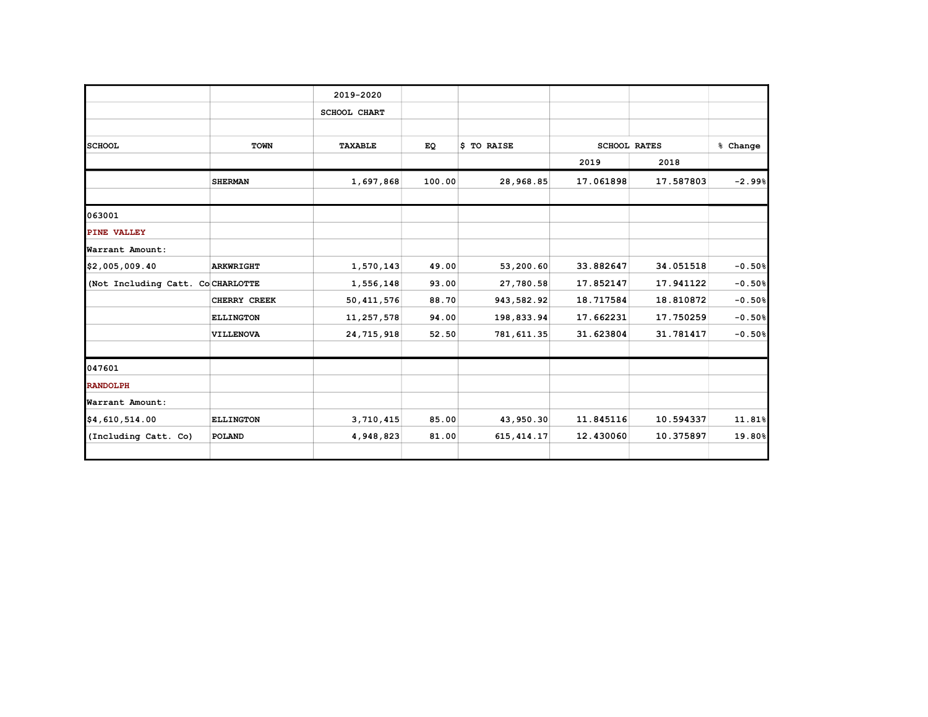|                                  |                  | 2019-2020           |        |             |           |                     |          |
|----------------------------------|------------------|---------------------|--------|-------------|-----------|---------------------|----------|
|                                  |                  |                     |        |             |           |                     |          |
|                                  |                  | <b>SCHOOL CHART</b> |        |             |           |                     |          |
|                                  |                  |                     |        |             |           |                     |          |
| <b>SCHOOL</b>                    | <b>TOWN</b>      | TAXABLE             | EQ     | \$ TO RAISE |           | <b>SCHOOL RATES</b> | % Change |
|                                  |                  |                     |        |             | 2019      | 2018                |          |
|                                  | <b>SHERMAN</b>   | 1,697,868           | 100.00 | 28,968.85   | 17.061898 | 17.587803           | $-2.99%$ |
| 063001                           |                  |                     |        |             |           |                     |          |
| PINE VALLEY                      |                  |                     |        |             |           |                     |          |
| Warrant Amount:                  |                  |                     |        |             |           |                     |          |
| \$2,005,009.40                   | <b>ARKWRIGHT</b> | 1,570,143           | 49.00  | 53,200.60   | 33.882647 | 34.051518           | $-0.50%$ |
| (Not Including Catt. CoCHARLOTTE |                  | 1,556,148           | 93.00  | 27,780.58   | 17.852147 | 17.941122           | $-0.50%$ |
|                                  | CHERRY CREEK     | 50, 411, 576        | 88.70  | 943,582.92  | 18.717584 | 18.810872           | $-0.50%$ |
|                                  | <b>ELLINGTON</b> | 11,257,578          | 94.00  | 198,833.94  | 17.662231 | 17.750259           | $-0.50%$ |
|                                  | <b>VILLENOVA</b> | 24, 715, 918        | 52.50  | 781,611.35  | 31.623804 | 31.781417           | $-0.50%$ |
| 047601                           |                  |                     |        |             |           |                     |          |
| <b>RANDOLPH</b>                  |                  |                     |        |             |           |                     |          |
| Warrant Amount:                  |                  |                     |        |             |           |                     |          |
| \$4,610,514.00                   | <b>ELLINGTON</b> | 3,710,415           | 85.00  | 43,950.30   | 11.845116 | 10.594337           | 11.81%   |
| (Including Catt. Co)             | POLAND           | 4,948,823           | 81.00  | 615, 414.17 | 12.430060 | 10.375897           | 19.80%   |
|                                  |                  |                     |        |             |           |                     |          |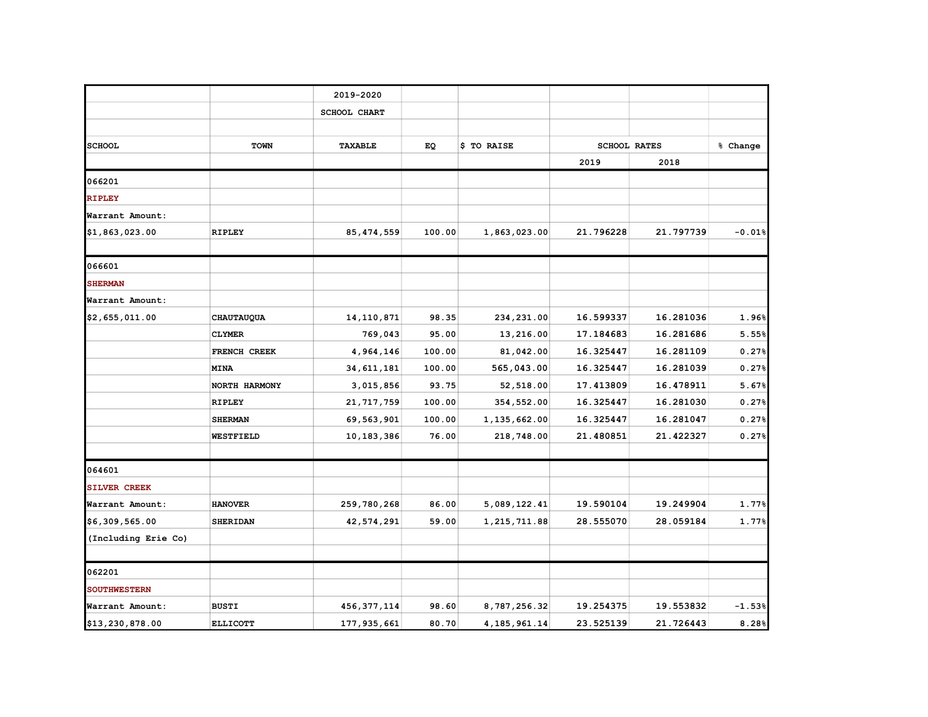|                     |                   | 2019-2020           |        |                 |           |                     |          |
|---------------------|-------------------|---------------------|--------|-----------------|-----------|---------------------|----------|
|                     |                   |                     |        |                 |           |                     |          |
|                     |                   | <b>SCHOOL CHART</b> |        |                 |           |                     |          |
|                     |                   |                     |        |                 |           |                     |          |
| <b>SCHOOL</b>       | <b>TOWN</b>       | TAXABLE             | EQ     | \$ TO RAISE     |           | <b>SCHOOL RATES</b> | % Change |
|                     |                   |                     |        |                 | 2019      | 2018                |          |
| 066201              |                   |                     |        |                 |           |                     |          |
| <b>RIPLEY</b>       |                   |                     |        |                 |           |                     |          |
| Warrant Amount:     |                   |                     |        |                 |           |                     |          |
| \$1,863,023.00      | <b>RIPLEY</b>     | 85, 474, 559        | 100.00 | 1,863,023.00    | 21.796228 | 21.797739           | $-0.01%$ |
| 066601              |                   |                     |        |                 |           |                     |          |
| <b>SHERMAN</b>      |                   |                     |        |                 |           |                     |          |
| Warrant Amount:     |                   |                     |        |                 |           |                     |          |
| \$2,655,011.00      | <b>CHAUTAUQUA</b> | 14, 110, 871        | 98.35  | 234, 231.00     | 16.599337 | 16.281036           | 1.96%    |
|                     | <b>CLYMER</b>     | 769,043             | 95.00  | 13,216.00       | 17.184683 | 16.281686           | 5.55%    |
|                     | FRENCH CREEK      | 4,964,146           | 100.00 | 81,042.00       | 16.325447 | 16.281109           | 0.27%    |
|                     | <b>MINA</b>       | 34, 611, 181        | 100.00 | 565,043.00      | 16.325447 | 16.281039           | 0.27%    |
|                     | NORTH HARMONY     | 3,015,856           | 93.75  | 52,518.00       | 17.413809 | 16.478911           | 5.67%    |
|                     | <b>RIPLEY</b>     | 21, 717, 759        | 100.00 | 354,552.00      | 16.325447 | 16.281030           | 0.27%    |
|                     | <b>SHERMAN</b>    | 69,563,901          | 100.00 | 1,135,662.00    | 16.325447 | 16.281047           | 0.27%    |
|                     | WESTFIELD         | 10, 183, 386        | 76.00  | 218,748.00      | 21.480851 | 21.422327           | 0.27%    |
|                     |                   |                     |        |                 |           |                     |          |
| 064601              |                   |                     |        |                 |           |                     |          |
| <b>SILVER CREEK</b> |                   |                     |        |                 |           |                     |          |
| Warrant Amount:     | <b>HANOVER</b>    | 259,780,268         | 86.00  | 5,089,122.41    | 19.590104 | 19.249904           | 1.77%    |
| \$6,309,565.00      | <b>SHERIDAN</b>   | 42,574,291          | 59.00  | 1,215,711.88    | 28.555070 | 28.059184           | 1.77%    |
| (Including Erie Co) |                   |                     |        |                 |           |                     |          |
| 062201              |                   |                     |        |                 |           |                     |          |
| <b>SOUTHWESTERN</b> |                   |                     |        |                 |           |                     |          |
| Warrant Amount:     | <b>BUSTI</b>      | 456, 377, 114       | 98.60  | 8,787,256.32    | 19.254375 | 19.553832           | $-1.53%$ |
| \$13,230,878.00     | <b>ELLICOTT</b>   | 177, 935, 661       | 80.70  | 4, 185, 961. 14 | 23.525139 | 21.726443           | 8.28%    |